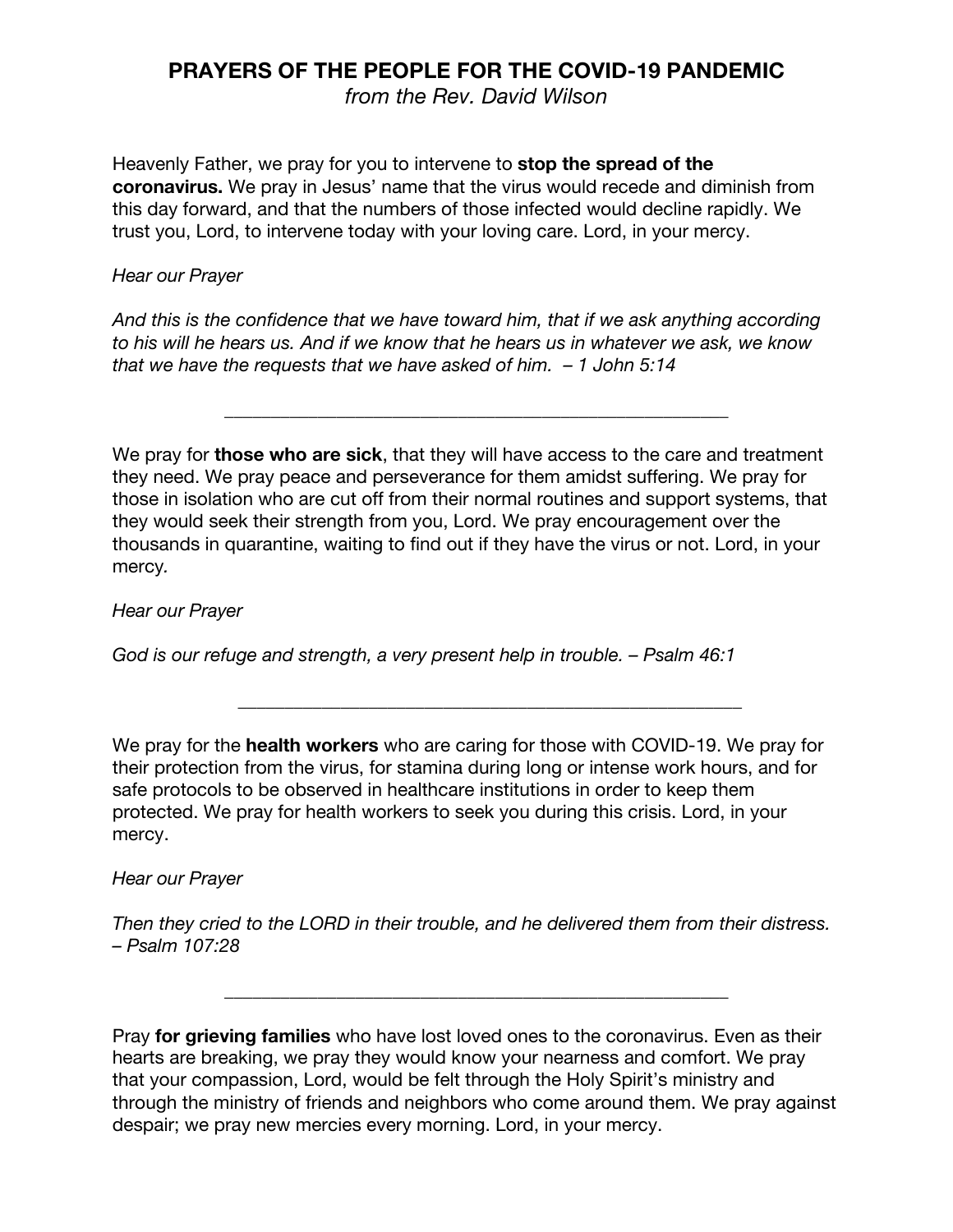# **PRAYERS OF THE PEOPLE FOR THE COVID-19 PANDEMIC**

*from the Rev. David Wilson*

Heavenly Father, we pray for you to intervene to **stop the spread of the coronavirus.** We pray in Jesus' name that the virus would recede and diminish from this day forward, and that the numbers of those infected would decline rapidly. We trust you, Lord, to intervene today with your loving care. Lord, in your mercy.

### *Hear our Prayer*

*And this is the confidence that we have toward him, that if we ask anything according to his will he hears us. And if we know that he hears us in whatever we ask, we know that we have the requests that we have asked of him. – 1 John 5:14*

\_\_\_\_\_\_\_\_\_\_\_\_\_\_\_\_\_\_\_\_\_\_\_\_\_\_\_\_\_\_\_\_\_\_\_\_\_\_\_\_\_\_\_\_\_\_\_\_\_\_\_\_\_\_

We pray for **those who are sick**, that they will have access to the care and treatment they need. We pray peace and perseverance for them amidst suffering. We pray for those in isolation who are cut off from their normal routines and support systems, that they would seek their strength from you, Lord. We pray encouragement over the thousands in quarantine, waiting to find out if they have the virus or not. Lord, in your mercy*.*

*Hear our Prayer*

*God is our refuge and strength, a very present help in trouble. – Psalm 46:1*

We pray for the **health workers** who are caring for those with COVID-19. We pray for their protection from the virus, for stamina during long or intense work hours, and for safe protocols to be observed in healthcare institutions in order to keep them protected. We pray for health workers to seek you during this crisis. Lord, in your mercy.

\_\_\_\_\_\_\_\_\_\_\_\_\_\_\_\_\_\_\_\_\_\_\_\_\_\_\_\_\_\_\_\_\_\_\_\_\_\_\_\_\_\_\_\_\_\_\_\_\_\_\_\_\_\_

### *Hear our Prayer*

*Then they cried to the LORD in their trouble, and he delivered them from their distress. – Psalm 107:28*

\_\_\_\_\_\_\_\_\_\_\_\_\_\_\_\_\_\_\_\_\_\_\_\_\_\_\_\_\_\_\_\_\_\_\_\_\_\_\_\_\_\_\_\_\_\_\_\_\_\_\_\_\_\_

Pray **for grieving families** who have lost loved ones to the coronavirus. Even as their hearts are breaking, we pray they would know your nearness and comfort. We pray that your compassion, Lord, would be felt through the Holy Spirit's ministry and through the ministry of friends and neighbors who come around them. We pray against despair; we pray new mercies every morning. Lord, in your mercy.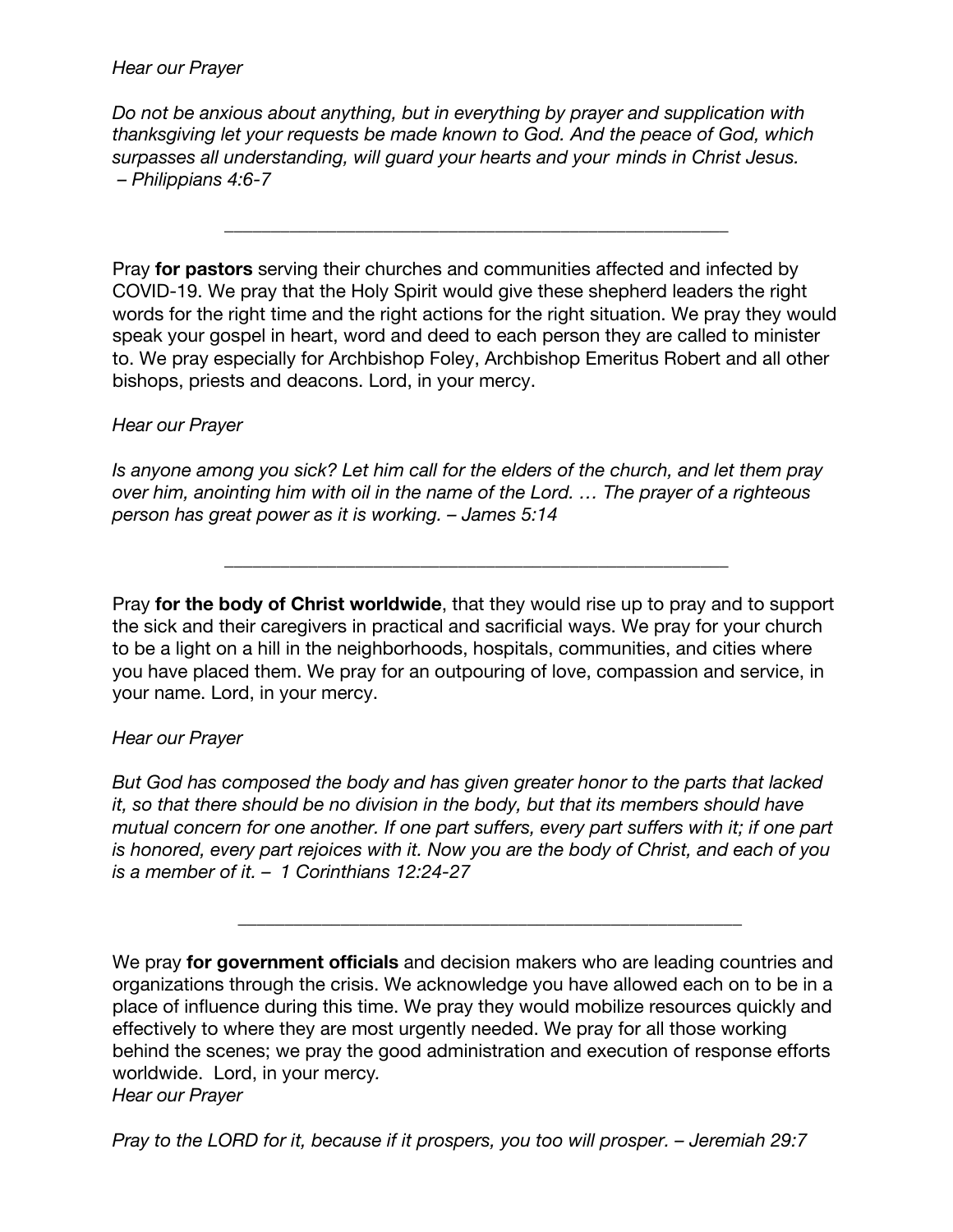*Hear our Prayer*

*Do not be anxious about anything, but in everything by prayer and supplication with thanksgiving let your requests be made known to God. And the peace of God, which surpasses all understanding, will guard your hearts and your minds in Christ Jesus. – Philippians 4:6-7*

Pray **for pastors** serving their churches and communities affected and infected by COVID-19. We pray that the Holy Spirit would give these shepherd leaders the right words for the right time and the right actions for the right situation. We pray they would speak your gospel in heart, word and deed to each person they are called to minister to. We pray especially for Archbishop Foley, Archbishop Emeritus Robert and all other bishops, priests and deacons. Lord, in your mercy.

\_\_\_\_\_\_\_\_\_\_\_\_\_\_\_\_\_\_\_\_\_\_\_\_\_\_\_\_\_\_\_\_\_\_\_\_\_\_\_\_\_\_\_\_\_\_\_\_\_\_\_\_\_\_

### *Hear our Prayer*

*Is anyone among you sick? Let him call for the elders of the church, and let them pray over him, anointing him with oil in the name of the Lord. … The prayer of a righteous person has great power as it is working. – James 5:14*

Pray **for the body of Christ worldwide**, that they would rise up to pray and to support the sick and their caregivers in practical and sacrificial ways. We pray for your church to be a light on a hill in the neighborhoods, hospitals, communities, and cities where you have placed them. We pray for an outpouring of love, compassion and service, in your name. Lord, in your mercy.

\_\_\_\_\_\_\_\_\_\_\_\_\_\_\_\_\_\_\_\_\_\_\_\_\_\_\_\_\_\_\_\_\_\_\_\_\_\_\_\_\_\_\_\_\_\_\_\_\_\_\_\_\_\_

## *Hear our Prayer*

*But God has composed the body and has given greater honor to the parts that lacked it, so that there should be no division in the body, but that its members should have mutual concern for one another. If one part suffers, every part suffers with it; if one part is honored, every part rejoices with it. Now you are the body of Christ, and each of you is a member of it. – 1 Corinthians 12:24-27*

\_\_\_\_\_\_\_\_\_\_\_\_\_\_\_\_\_\_\_\_\_\_\_\_\_\_\_\_\_\_\_\_\_\_\_\_\_\_\_\_\_\_\_\_\_\_\_\_\_\_\_\_\_\_

We pray **for government officials** and decision makers who are leading countries and organizations through the crisis. We acknowledge you have allowed each on to be in a place of influence during this time. We pray they would mobilize resources quickly and effectively to where they are most urgently needed. We pray for all those working behind the scenes; we pray the good administration and execution of response efforts worldwide. Lord, in your mercy*. Hear our Prayer*

*Pray to the LORD for it, because if it prospers, you too will prosper. – Jeremiah 29:7*